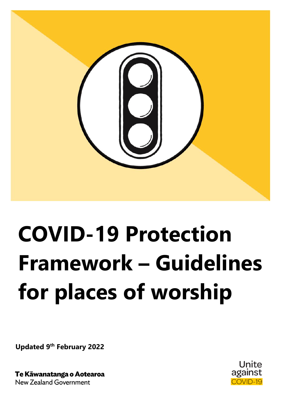

# **COVID-19 Protection Framework – Guidelines for places of worship**

**Updated 9 th February 2022**

Te Kāwanatanga o Aotearoa **New Zealand Government** 

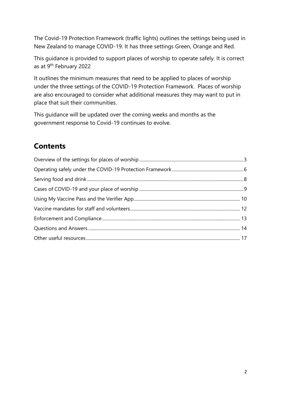The Covid-19 Protection Framework (traffic lights) outlines the settings being used in New Zealand to manage COVID-19. It has three settings Green, Orange and Red.

This guidance is provided to support places of worship to operate safely. It is correct as at 9<sup>th</sup> February 2022

It outlines the minimum measures that need to be applied to places of worship under the three settings of the COVID-19 Protection Framework. Places of worship are also encouraged to consider what additional measures they may want to put in place that suit their communities.

This guidance will be updated over the coming weeks and months as the government response to Covid-19 continues to evolve.

## **Contents**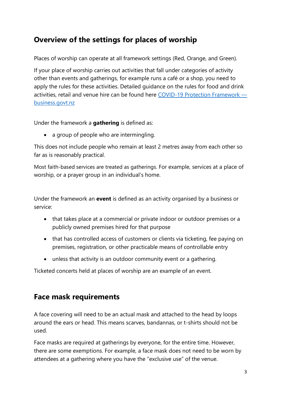## <span id="page-2-0"></span>**Overview of the settings for places of worship**

Places of worship can operate at all framework settings (Red, Orange, and Green).

If your place of worship carries out activities that fall under categories of activity other than events and gatherings, for example runs a café or a shop, you need to apply the rules for these activities. Detailed guidance on the rules for food and drink activities, retail and venue hire can be found here [COVID-19 Protection Framework](https://www.business.govt.nz/covid-19/covid-19-protection-framework)  [business.govt.nz](https://www.business.govt.nz/covid-19/covid-19-protection-framework)

Under the framework a **gathering** is defined as:

• a group of people who are intermingling.

This does not include people who remain at least 2 metres away from each other so far as is reasonably practical.

Most faith-based services are treated as gatherings. For example, services at a place of worship, or a prayer group in an individual's home.

Under the framework an **event** is defined as an activity organised by a business or service:

- that takes place at a commercial or private indoor or outdoor premises or a publicly owned premises hired for that purpose
- that has controlled access of customers or clients via ticketing, fee paying on premises, registration, or other practicable means of controllable entry
- unless that activity is an outdoor community event or a gathering.

Ticketed concerts held at places of worship are an example of an event.

### **Face mask requirements**

A face covering will need to be an actual mask and attached to the head by loops around the ears or head. This means scarves, bandannas, or t-shirts should not be used.

Face masks are required at gatherings by everyone, for the entire time. However, there are some exemptions. For example, a face mask does not need to be worn by attendees at a gathering where you have the "exclusive use" of the venue.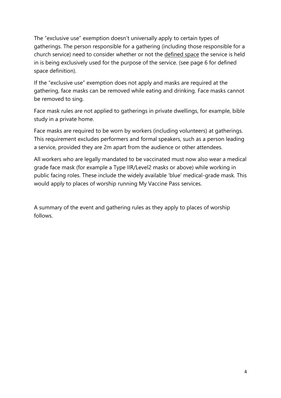The "exclusive use" exemption doesn't universally apply to certain types of gatherings. The person responsible for a gathering (including those responsible for a church service) need to consider whether or not the defined space the service is held in is being exclusively used for the purpose of the service. (see page 6 for defined space definition).

If the "exclusive use" exemption does not apply and masks are required at the gathering, face masks can be removed while eating and drinking. Face masks cannot be removed to sing.

Face mask rules are not applied to gatherings in private dwellings, for example, bible study in a private home.

Face masks are required to be worn by workers (including volunteers) at gatherings. This requirement excludes performers and formal speakers, such as a person leading a service, provided they are 2m apart from the audience or other attendees.

All workers who are legally mandated to be vaccinated must now also wear a medical grade face mask (for example a Type IIR/Level2 masks or above) while working in public facing roles. These include the widely available 'blue' medical-grade mask. This would apply to places of worship running My Vaccine Pass services.

A summary of the event and gathering rules as they apply to places of worship follows.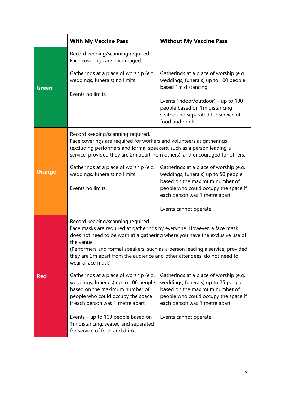|               | <b>With My Vaccine Pass</b>                                                                                                                                                                                                                                                                                                                                                                | <b>Without My Vaccine Pass</b>                                                                                                                                                             |  |
|---------------|--------------------------------------------------------------------------------------------------------------------------------------------------------------------------------------------------------------------------------------------------------------------------------------------------------------------------------------------------------------------------------------------|--------------------------------------------------------------------------------------------------------------------------------------------------------------------------------------------|--|
|               | Record keeping/scanning required<br>Face coverings are encouraged.                                                                                                                                                                                                                                                                                                                         |                                                                                                                                                                                            |  |
| <b>Green</b>  | Gatherings at a place of worship (e.g.<br>weddings, funerals) no limits.<br>Events no limits.                                                                                                                                                                                                                                                                                              | Gatherings at a place of worship (e.g.<br>weddings, funerals) up to 100 people<br>based 1m distancing.                                                                                     |  |
|               |                                                                                                                                                                                                                                                                                                                                                                                            | Events (indoor/outdoor) – up to $100$<br>people based on 1m distancing,<br>seated and separated for service of<br>food and drink.                                                          |  |
|               | Record keeping/scanning required.<br>Face coverings are required for workers and volunteers at gatherings<br>(excluding performers and formal speakers, such as a person leading a<br>service, provided they are 2m apart from others), and encouraged for others.                                                                                                                         |                                                                                                                                                                                            |  |
| <b>Orange</b> | Gatherings at a place of worship (e.g.<br>weddings, funerals) no limits.<br>Events no limits.                                                                                                                                                                                                                                                                                              | Gatherings at a place of worship (e.g.<br>weddings, funerals) up to 50 people,<br>based on the maximum number of<br>people who could occupy the space if<br>each person was 1 metre apart. |  |
|               |                                                                                                                                                                                                                                                                                                                                                                                            | Events cannot operate                                                                                                                                                                      |  |
|               | Record keeping/scanning required.<br>Face masks are required at gatherings by everyone. However, a face mask<br>does not need to be worn at a gathering where you have the exclusive use of<br>the venue.<br>(Performers and formal speakers, such as a person leading a service, provided<br>they are 2m apart from the audience and other attendees, do not need to<br>wear a face mask) |                                                                                                                                                                                            |  |
| <b>Red</b>    | Gatherings at a place of worship (e.g.<br>weddings, funerals) up to 100 people<br>based on the maximum number of<br>people who could occupy the space<br>if each person was 1 metre apart.                                                                                                                                                                                                 | Gatherings at a place of worship (e.g.<br>weddings, funerals) up to 25 people,<br>based on the maximum number of<br>people who could occupy the space if<br>each person was 1 metre apart. |  |
|               | Events – up to 100 people based on<br>1m distancing, seated and separated<br>for service of food and drink.                                                                                                                                                                                                                                                                                | Events cannot operate.                                                                                                                                                                     |  |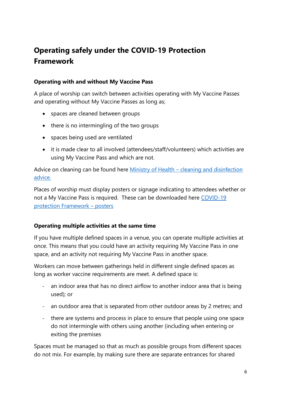# <span id="page-5-0"></span>**Operating safely under the COVID-19 Protection Framework**

#### **Operating with and without My Vaccine Pass**

A place of worship can switch between activities operating with My Vaccine Passes and operating without My Vaccine Passes as long as;

- spaces are cleaned between groups
- there is no intermingling of the two groups
- spaces being used are ventilated
- it is made clear to all involved (attendees/staff/volunteers) which activities are using My Vaccine Pass and which are not.

Advice on cleaning can be found here Ministry of Health – cleaning and disinfection [advice.](https://www.health.govt.nz/our-work/diseases-and-conditions/covid-19-novel-coronavirus/covid-19-information-specific-audiences/covid-19-general-cleaning-and-disinfection-advice)

Places of worship must display posters or signage indicating to attendees whether or not a My Vaccine Pass is required. These can be downloaded here [COVID-19](https://covid19.govt.nz/posters/#posters-for-businesses-and-organisations)  [protection Framework](https://covid19.govt.nz/posters/#posters-for-businesses-and-organisations) – posters

#### **Operating multiple activities at the same time**

If you have multiple defined spaces in a venue, you can operate multiple activities at once. This means that you could have an activity requiring My Vaccine Pass in one space, and an activity not requiring My Vaccine Pass in another space.

Workers can move between gatherings held in different single defined spaces as long as worker vaccine requirements are meet. A defined space is:

- an indoor area that has no direct airflow to another indoor area that is being used); or
- an outdoor area that is separated from other outdoor areas by 2 metres; and
- there are systems and process in place to ensure that people using one space do not intermingle with others using another (including when entering or exiting the premises

Spaces must be managed so that as much as possible groups from different spaces do not mix. For example, by making sure there are separate entrances for shared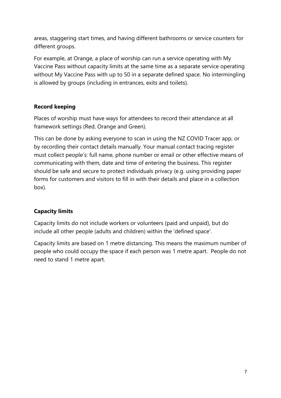areas, staggering start times, and having different bathrooms or service counters for different groups.

For example, at Orange, a place of worship can run a service operating with My Vaccine Pass without capacity limits at the same time as a separate service operating without My Vaccine Pass with up to 50 in a separate defined space. No intermingling is allowed by groups (including in entrances, exits and toilets).

#### **Record keeping**

Places of worship must have ways for attendees to record their attendance at all framework settings (Red, Orange and Green).

This can be done by asking everyone to scan in using the NZ COVID Tracer app, or by recording their contact details manually. Your manual contact tracing register must collect people's: full name, phone number or email or other effective means of communicating with them, date and time of entering the business. This register should be safe and secure to protect individuals privacy (e.g. using providing paper forms for customers and visitors to fill in with their details and place in a collection box).

#### **Capacity limits**

Capacity limits do not include workers or volunteers (paid and unpaid), but do include all other people (adults and children) within the 'defined space'.

<span id="page-6-0"></span>Capacity limits are based on 1 metre distancing. This means the maximum number of people who could occupy the space if each person was 1 metre apart. People do not need to stand 1 metre apart.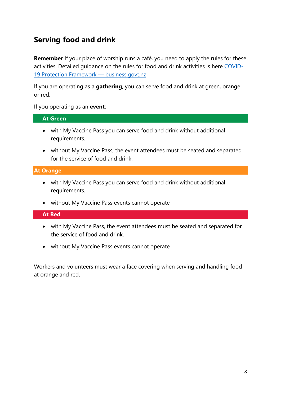## **Serving food and drink**

**Remember** If your place of worship runs a café, you need to apply the rules for these activities. Detailed guidance on the rules for food and drink activities is here [COVID-](https://www.business.govt.nz/covid-19/covid-19-protection-framework)[19 Protection Framework](https://www.business.govt.nz/covid-19/covid-19-protection-framework) — business.govt.nz

If you are operating as a **gathering**, you can serve food and drink at green, orange or red.

If you operating as an **event**:

#### **At Green**

- with My Vaccine Pass you can serve food and drink without additional requirements.
- without My Vaccine Pass, the event attendees must be seated and separated for the service of food and drink.

#### **At Orange**

- with My Vaccine Pass you can serve food and drink without additional requirements.
- without My Vaccine Pass events cannot operate

#### **At Red**

- with My Vaccine Pass, the event attendees must be seated and separated for the service of food and drink.
- without My Vaccine Pass events cannot operate

Workers and volunteers must wear a face covering when serving and handling food at orange and red.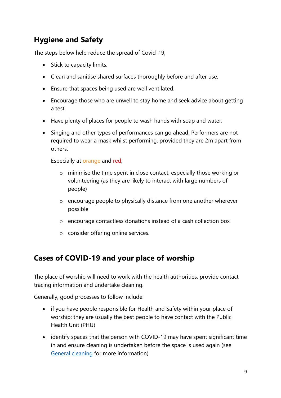# **Hygiene and Safety**

The steps below help reduce the spread of Covid-19;

- Stick to capacity limits.
- Clean and sanitise shared surfaces thoroughly before and after use.
- Ensure that spaces being used are well ventilated.
- Encourage those who are unwell to stay home and seek advice about getting a test.
- Have plenty of places for people to wash hands with soap and water.
- Singing and other types of performances can go ahead. Performers are not required to wear a mask whilst performing, provided they are 2m apart from others.

Especially at orange and red;

- o minimise the time spent in close contact, especially those working or volunteering (as they are likely to interact with large numbers of people)
- o encourage people to physically distance from one another wherever possible
- o encourage contactless donations instead of a cash collection box
- o consider offering online services.

# <span id="page-8-0"></span>**Cases of COVID-19 and your place of worship**

The place of worship will need to work with the health authorities, provide contact tracing information and undertake cleaning.

Generally, good processes to follow include:

- if you have people responsible for Health and Safety within your place of worship; they are usually the best people to have contact with the Public Health Unit (PHU)
- identify spaces that the person with COVID-19 may have spent significant time in and ensure cleaning is undertaken before the space is used again (see [General cleaning](https://www.health.govt.nz/our-work/diseases-and-conditions/covid-19-novel-coronavirus/covid-19-information-specific-audiences/covid-19-general-cleaning-and-disinfection-advice/cleaning-following-confirmed-or-probable-case-covid-19) for more information)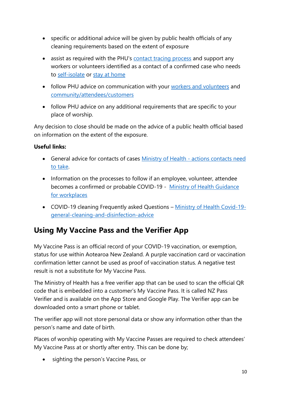- specific or additional advice will be given by public health officials of any cleaning requirements based on the extent of exposure
- assist as required with the PHU's [contact tracing process](https://www.health.govt.nz/our-work/diseases-and-conditions/covid-19-novel-coronavirus/covid-19-information-specific-audiences/guidelines-businesses-and-services/guidance-workplaces-have-case-covid-19#contacttracing) and support any workers or volunteers identified as a contact of a confirmed case who needs to [self-isolate](https://www.health.govt.nz/our-work/diseases-and-conditions/covid-19-novel-coronavirus/covid-19-health-advice-public/covid-19-self-isolation-managed-isolation-quarantine) or [stay at home](https://www.health.govt.nz/our-work/diseases-and-conditions/covid-19-novel-coronavirus/covid-19-health-advice-public/covid-19-staying-home)
- follow PHU advice on communication with your [workers and volunteers](https://www.health.govt.nz/our-work/diseases-and-conditions/covid-19-novel-coronavirus/covid-19-information-specific-audiences/guidelines-businesses-and-services/guidance-workplaces-have-case-covid-19#employees) and [community/attendees/customers](https://www.health.govt.nz/our-work/diseases-and-conditions/covid-19-novel-coronavirus/covid-19-information-specific-audiences/guidelines-businesses-and-services/guidance-workplaces-have-case-covid-19#customers)
- follow PHU advice on any additional requirements that are specific to your place of worship.

Any decision to close should be made on the advice of a public health official based on information on the extent of the exposure.

#### **Useful links:**

- General advice for contacts of cases Ministry of Health [actions contacts need](https://www.health.govt.nz/our-work/diseases-and-conditions/covid-19-novel-coronavirus/covid-19-health-advice-public/contact-tracing-covid-19/covid-19-contact-tracing-locations-interest)  [to take.](https://www.health.govt.nz/our-work/diseases-and-conditions/covid-19-novel-coronavirus/covid-19-health-advice-public/contact-tracing-covid-19/covid-19-contact-tracing-locations-interest)
- Information on the processes to follow if an employee, volunteer, attendee becomes a confirmed or probable COVID-19 - [Ministry of Health Guidance](https://www.health.govt.nz/our-work/diseases-and-conditions/covid-19-novel-coronavirus/covid-19-information-specific-audiences/guidelines-businesses-and-services/guidance-workplaces-have-case-covid-19)  [for workplaces](https://www.health.govt.nz/our-work/diseases-and-conditions/covid-19-novel-coronavirus/covid-19-information-specific-audiences/guidelines-businesses-and-services/guidance-workplaces-have-case-covid-19)
- COVID-19 cleaning Frequently asked Questions [Ministry of Health Covid-19](https://www.health.govt.nz/our-work/diseases-and-conditions/covid-19-novel-coronavirus/covid-19-information-specific-audiences/covid-19-general-cleaning-and-disinfection-advice/covid-19-cleaning-frequently-asked-questions) [general-cleaning-and-disinfection-advice](https://www.health.govt.nz/our-work/diseases-and-conditions/covid-19-novel-coronavirus/covid-19-information-specific-audiences/covid-19-general-cleaning-and-disinfection-advice/covid-19-cleaning-frequently-asked-questions)

## <span id="page-9-0"></span>**Using My Vaccine Pass and the Verifier App**

My Vaccine Pass is an official record of your COVID-19 vaccination, or exemption, status for use within Aotearoa New Zealand. A purple vaccination card or vaccination confirmation letter cannot be used as proof of vaccination status. A negative test result is not a substitute for My Vaccine Pass.

The Ministry of Health has a free verifier app that can be used to scan the official QR code that is embedded into a customer's My Vaccine Pass. It is called NZ Pass Verifier and is available on the App Store and Google Play. The Verifier app can be downloaded onto a smart phone or tablet.

The verifier app will not store personal data or show any information other than the person's name and date of birth.

Places of worship operating with My Vaccine Passes are required to check attendees' My Vaccine Pass at or shortly after entry. This can be done by;

• sighting the person's Vaccine Pass, or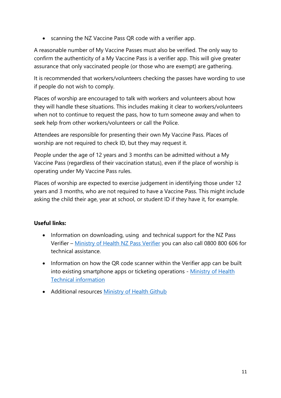• scanning the NZ Vaccine Pass QR code with a verifier app.

A reasonable number of My Vaccine Passes must also be verified. The only way to confirm the authenticity of a My Vaccine Pass is a verifier app. This will give greater assurance that only vaccinated people (or those who are exempt) are gathering.

It is recommended that workers/volunteers checking the passes have wording to use if people do not wish to comply.

Places of worship are encouraged to talk with workers and volunteers about how they will handle these situations. This includes making it clear to workers/volunteers when not to continue to request the pass, how to turn someone away and when to seek help from other workers/volunteers or call the Police.

Attendees are responsible for presenting their own My Vaccine Pass. Places of worship are not required to check ID, but they may request it.

People under the age of 12 years and 3 months can be admitted without a My Vaccine Pass (regardless of their vaccination status), even if the place of worship is operating under My Vaccine Pass rules.

Places of worship are expected to exercise judgement in identifying those under 12 years and 3 months, who are not required to have a Vaccine Pass. This might include asking the child their age, year at school, or student ID if they have it, for example.

#### **Useful links:**

- Information on downloading, using and technical support for the NZ Pass Verifier – [Ministry of Health NZ Pass Verifier](file:///C:/Users/McCannP/AppData/Local/Microsoft/Windows/INetCache/Content.Outlook/9VKWFWVH/r%20https:/www.health.govt.nz/our-work/diseases-and-conditions/covid-19-novel-coronavirus/covid-19-vaccines/my-covid-record-proof-vaccination-status/nz-pass-verifier) you can also call 0800 800 606 for technical assistance.
- Information on how the QR code scanner within the Verifier app can be built into existing smartphone apps or ticketing operations - [Ministry of Health](https://nzcp.covid19.health.nz/)  [Technical information](https://nzcp.covid19.health.nz/)
- <span id="page-10-0"></span>• Additional resources [Ministry of Health Github](http://www.github.com/minhealthnz)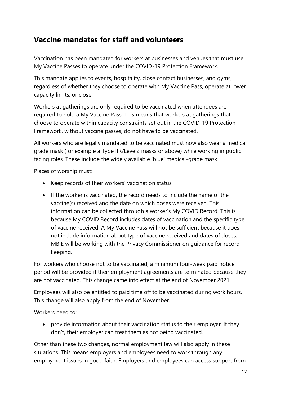# **Vaccine mandates for staff and volunteers**

Vaccination has been mandated for workers at businesses and venues that must use My Vaccine Passes to operate under the COVID-19 Protection Framework.

This mandate applies to events, hospitality, close contact businesses, and gyms, regardless of whether they choose to operate with My Vaccine Pass, operate at lower capacity limits, or close.

Workers at gatherings are only required to be vaccinated when attendees are required to hold a My Vaccine Pass. This means that workers at gatherings that choose to operate within capacity constraints set out in the COVID-19 Protection Framework, without vaccine passes, do not have to be vaccinated.

All workers who are legally mandated to be vaccinated must now also wear a medical grade mask (for example a Type IIR/Level2 masks or above) while working in public facing roles. These include the widely available 'blue' medical-grade mask.

Places of worship must:

- Keep records of their workers' vaccination status.
- If the worker is vaccinated, the record needs to include the name of the vaccine(s) received and the date on which doses were received. This information can be collected through a worker's My COVID Record. This is because My COVID Record includes dates of vaccination and the specific type of vaccine received. A My Vaccine Pass will not be sufficient because it does not include information about type of vaccine received and dates of doses. MBIE will be working with the Privacy Commissioner on guidance for record keeping.

For workers who choose not to be vaccinated, a minimum four-week paid notice period will be provided if their employment agreements are terminated because they are not vaccinated. This change came into effect at the end of November 2021.

Employees will also be entitled to paid time off to be vaccinated during work hours. This change will also apply from the end of November.

Workers need to:

• provide information about their vaccination status to their employer. If they don't, their employer can treat them as not being vaccinated.

Other than these two changes, normal employment law will also apply in these situations. This means employers and employees need to work through any employment issues in good faith. Employers and employees can access support from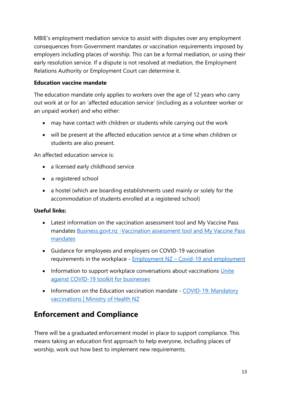MBIE's employment mediation service to assist with disputes over any employment consequences from Government mandates or vaccination requirements imposed by employers including places of worship. This can be a formal mediation, or using their early resolution service. If a dispute is not resolved at mediation, the Employment Relations Authority or Employment Court can determine it.

#### **Education vaccine mandate**

The education mandate only applies to workers over the age of 12 years who carry out work at or for an 'affected education service' (including as a volunteer worker or an unpaid worker) and who either:

- may have contact with children or students while carrying out the work
- will be present at the affected education service at a time when children or students are also present.

An affected education service is:

- a licensed early childhood service
- a registered school
- a hostel (which are boarding establishments used mainly or solely for the accommodation of students enrolled at a registered school)

#### **Useful links:**

- Latest information on the vaccination assessment tool and My Vaccine Pass mandates [Business.govt.nz -Vaccination assessment tool and My Vaccine Pass](https://www.business.govt.nz/news/vaccine-updates-vaccine-assessment-tool-and-my-vaccine-pass-mandates/)  [mandates](https://www.business.govt.nz/news/vaccine-updates-vaccine-assessment-tool-and-my-vaccine-pass-mandates/)
- Guidance for employees and employers on COVID-19 vaccination requirements in the workplace - Employment NZ – [Covid-19 and employment](file:///C:/Users/McCannP/AppData/Local/Microsoft/Windows/INetCache/Content.Outlook/9VKWFWVH/Employment%20NZ%20–%20Covid-19%20and%20employment)
- Information to support workplace conversations about vaccinations Unite [against COVID-19 toolkit for businesses](https://covid19.govt.nz/assets/vaccine_toolkit_for_businesses_2021.pdf)
- Information on the Education vaccination mandate COVID-19: Mandatory [vaccinations | Ministry of Health NZ](https://www.health.govt.nz/our-work/diseases-and-conditions/covid-19-novel-coronavirus/covid-19-response-planning/covid-19-mandatory-vaccinations#edu)

# <span id="page-12-0"></span>**Enforcement and Compliance**

There will be a graduated enforcement model in place to support compliance. This means taking an education first approach to help everyone, including places of worship, work out how best to implement new requirements.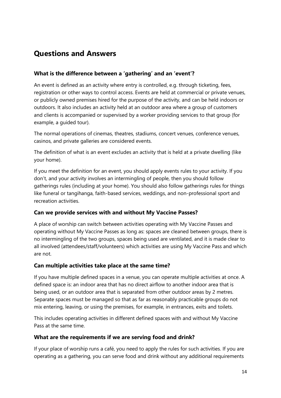## <span id="page-13-0"></span>**Questions and Answers**

#### **What is the difference between a 'gathering' and an 'event'?**

An event is defined as an activity where entry is controlled, e.g. through ticketing, fees, registration or other ways to control access. Events are held at commercial or private venues, or publicly owned premises hired for the purpose of the activity, and can be held indoors or outdoors. It also includes an activity held at an outdoor area where a group of customers and clients is accompanied or supervised by a worker providing services to that group (for example, a guided tour).

The normal operations of cinemas, theatres, stadiums, concert venues, conference venues, casinos, and private galleries are considered events.

The definition of what is an event excludes an activity that is held at a private dwelling (like your home).

If you meet the definition for an event, you should apply events rules to your activity. If you don't, and your activity involves an intermingling of people, then you should follow gatherings rules (including at your home). You should also follow gatherings rules for things like funeral or tangihanga, faith-based services, weddings, and non-professional sport and recreation activities.

#### **Can we provide services with and without My Vaccine Passes?**

A place of worship can switch between activities operating with My Vaccine Passes and operating without My Vaccine Passes as long as: spaces are cleaned between groups, there is no intermingling of the two groups, spaces being used are ventilated, and it is made clear to all involved (attendees/staff/volunteers) which activities are using My Vaccine Pass and which are not.

#### **Can multiple activities take place at the same time?**

If you have multiple defined spaces in a venue, you can operate multiple activities at once. A defined space is: an indoor area that has no direct airflow to another indoor area that is being used, or an outdoor area that is separated from other outdoor areas by 2 metres. Separate spaces must be managed so that as far as reasonably practicable groups do not mix entering, leaving, or using the premises, for example, in entrances, exits and toilets.

This includes operating activities in different defined spaces with and without My Vaccine Pass at the same time.

#### **What are the requirements if we are serving food and drink?**

If your place of worship runs a café, you need to apply the rules for such activities. If you are operating as a gathering, you can serve food and drink without any additional requirements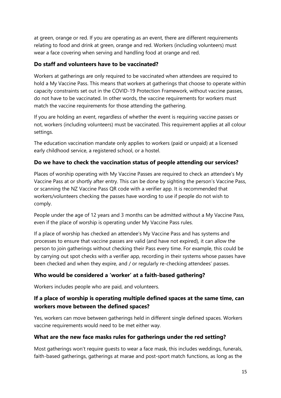at green, orange or red. If you are operating as an event, there are different requirements relating to food and drink at green, orange and red. Workers (including volunteers) must wear a face covering when serving and handling food at orange and red.

#### **Do staff and volunteers have to be vaccinated?**

Workers at gatherings are only required to be vaccinated when attendees are required to hold a My Vaccine Pass. This means that workers at gatherings that choose to operate within capacity constraints set out in the COVID-19 Protection Framework, without vaccine passes, do not have to be vaccinated. In other words, the vaccine requirements for workers must match the vaccine requirements for those attending the gathering.

If you are holding an event, regardless of whether the event is requiring vaccine passes or not, workers (including volunteers) must be vaccinated. This requirement applies at all colour settings.

The education vaccination mandate only applies to workers (paid or unpaid) at a licensed early childhood service, a registered school, or a hostel.

#### **Do we have to check the vaccination status of people attending our services?**

Places of worship operating with My Vaccine Passes are required to check an attendee's My Vaccine Pass at or shortly after entry. This can be done by sighting the person's Vaccine Pass, or scanning the NZ Vaccine Pass QR code with a verifier app. It is recommended that workers/volunteers checking the passes have wording to use if people do not wish to comply.

People under the age of 12 years and 3 months can be admitted without a My Vaccine Pass, even if the place of worship is operating under My Vaccine Pass rules.

If a place of worship has checked an attendee's My Vaccine Pass and has systems and processes to ensure that vaccine passes are valid (and have not expired), it can allow the person to join gatherings without checking their Pass every time. For example, this could be by carrying out spot checks with a verifier app, recording in their systems whose passes have been checked and when they expire, and / or regularly re-checking attendees' passes.

#### **Who would be considered a 'worker' at a faith-based gathering?**

Workers includes people who are paid, and volunteers.

#### **If a place of worship is operating multiple defined spaces at the same time, can workers move between the defined spaces?**

Yes, workers can move between gatherings held in different single defined spaces. Workers vaccine requirements would need to be met either way.

#### **What are the new face masks rules for gatherings under the red setting?**

Most gatherings won't require guests to wear a face mask, this includes weddings, funerals, faith-based gatherings, gatherings at marae and post-sport match functions, as long as the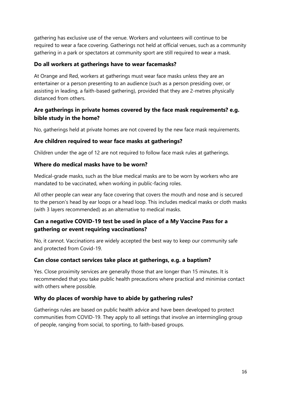gathering has exclusive use of the venue. Workers and volunteers will continue to be required to wear a face covering. Gatherings not held at official venues, such as a community gathering in a park or spectators at community sport are still required to wear a mask.

#### **Do all workers at gatherings have to wear facemasks?**

At Orange and Red, workers at gatherings must wear face masks unless they are an entertainer or a person presenting to an audience (such as a person presiding over, or assisting in leading, a faith-based gathering), provided that they are 2-metres physically distanced from others.

#### **Are gatherings in private homes covered by the face mask requirements? e.g. bible study in the home?**

No, gatherings held at private homes are not covered by the new face mask requirements.

#### **Are children required to wear face masks at gatherings?**

Children under the age of 12 are not required to follow face mask rules at gatherings.

#### **Where do medical masks have to be worn?**

Medical-grade masks, such as the blue medical masks are to be worn by workers who are mandated to be vaccinated, when working in public-facing roles.

All other people can wear any face covering that covers the mouth and nose and is secured to the person's head by ear loops or a head loop. This includes medical masks or cloth masks (with 3 layers recommended) as an alternative to medical masks.

#### **Can a negative COVID-19 test be used in place of a My Vaccine Pass for a gathering or event requiring vaccinations?**

No, it cannot. Vaccinations are widely accepted the best way to keep our community safe and protected from Covid-19.

#### **Can close contact services take place at gatherings, e.g. a baptism?**

Yes. Close proximity services are generally those that are longer than 15 minutes. It is recommended that you take public health precautions where practical and minimise contact with others where possible.

#### **Why do places of worship have to abide by gathering rules?**

Gatherings rules are based on public health advice and have been developed to protect communities from COVID-19. They apply to all settings that involve an intermingling group of people, ranging from social, to sporting, to faith-based groups.